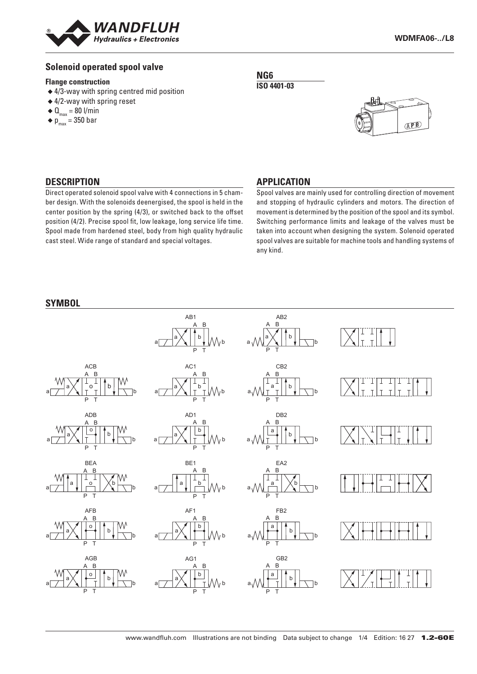

# **Solenoid operated spool valve**

#### **Flange construction**

- ◆ 4/3-way with spring centred mid position
- ◆ 4/2-way with spring reset
- $\triangleleft$  Q<sub>max</sub> = 80 l/min
- $\bullet$  p<sub>max</sub> = 350 bar

**NG6 ISO 4401-03**



## **DESCRIPTION**

Direct operated solenoid spool valve with 4 connections in 5 chamber design. With the solenoids deenergised, the spool is held in the center position by the spring (4/3), or switched back to the offset position (4/2). Precise spool fit, low leakage, long service life time. Spool made from hardened steel, body from high quality hydraulic cast steel. Wide range of standard and special voltages.

#### **APPLICATION**

Spool valves are mainly used for controlling direction of movement and stopping of hydraulic cylinders and motors. The direction of movement is determined by the position of the spool and its symbol. Switching performance limits and leakage of the valves must be taken into account when designing the system. Solenoid operated spool valves are suitable for machine tools and handling systems of any kind.

#### **SYMBOL**

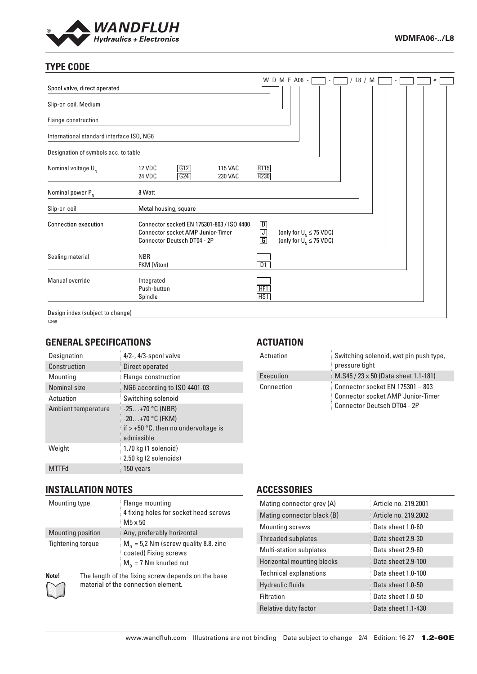

# **TYPE CODE**

|                                           |                                                                                                                              |                          | W D M F A06 -                                                 | $\overline{\phantom{a}}$ | L8 / M |  |  | # |  |
|-------------------------------------------|------------------------------------------------------------------------------------------------------------------------------|--------------------------|---------------------------------------------------------------|--------------------------|--------|--|--|---|--|
| Spool valve, direct operated              |                                                                                                                              |                          |                                                               |                          |        |  |  |   |  |
| Slip-on coil, Medium                      |                                                                                                                              |                          |                                                               |                          |        |  |  |   |  |
| Flange construction                       |                                                                                                                              |                          |                                                               |                          |        |  |  |   |  |
| International standard interface ISO, NG6 |                                                                                                                              |                          |                                                               |                          |        |  |  |   |  |
| Designation of symbols acc. to table      |                                                                                                                              |                          |                                                               |                          |        |  |  |   |  |
| Nominal voltage $U_{N}$                   | G12<br><b>12 VDC</b><br><b>115 VAC</b><br>G24<br>24 VDC<br><b>230 VAC</b>                                                    | R <sub>115</sub><br>R230 |                                                               |                          |        |  |  |   |  |
| Nominal power $P_{N}$                     | 8 Watt                                                                                                                       |                          |                                                               |                          |        |  |  |   |  |
| Slip-on coil                              | Metal housing, square                                                                                                        |                          |                                                               |                          |        |  |  |   |  |
| <b>Connection execution</b>               | Connector socketl EN 175301-803 / ISO 4400<br><b>Connector socket AMP Junior-Timer</b><br><b>Connector Deutsch DT04 - 2P</b> | $\frac{D}{G}$            | (only for $U_{N} \leq 75$ VDC)<br>(only for $U_N \le 75$ VDC) |                          |        |  |  |   |  |
| Sealing material                          | <b>NBR</b><br>FKM (Viton)                                                                                                    | DT                       |                                                               |                          |        |  |  |   |  |
| Manual override                           | Integrated<br>Push-button<br>Spindle                                                                                         | HF1<br>HS <sub>1</sub>   |                                                               |                          |        |  |  |   |  |
| Design index (subject to change)          |                                                                                                                              |                          |                                                               |                          |        |  |  |   |  |

 $1.2 - 60$ 

# **GENERAL SPECIFICATIONS**

| Designation         | $4/2$ -, $4/3$ -spool valve                                                                    |
|---------------------|------------------------------------------------------------------------------------------------|
| Construction        | Direct operated                                                                                |
| Mounting            | Flange construction                                                                            |
| Nominal size        | NG6 according to ISO 4401-03                                                                   |
| Actuation           | Switching solenoid                                                                             |
| Ambient temperature | $-25+70$ °C (NBR)<br>$-20+70$ °C (FKM)<br>if $> +50$ °C, then no undervoltage is<br>admissible |
| Weight              | 1.70 kg (1 solenoid)<br>2.50 kg (2 solenoids)                                                  |
|                     | 150 years                                                                                      |

## **ACTUATION**

| Actuation  | Switching solenoid, wet pin push type,<br>pressure tight |
|------------|----------------------------------------------------------|
| Execution  | M.S45 / 23 x 50 (Data sheet 1.1-181)                     |
| Connection | Connector socket EN 175301 - 803                         |
|            | Connector socket AMP Junior-Timer !                      |
|            | Connector Deutsch DT04 - 2P                              |

## **INSTALLATION NOTES**

| Mounting type            | Flange mounting<br>4 fixing holes for socket head screws<br>$M5 \times 50$                   |  |  |  |  |
|--------------------------|----------------------------------------------------------------------------------------------|--|--|--|--|
| Mounting position        | Any, preferably horizontal                                                                   |  |  |  |  |
| <b>Tightening torque</b> | $M_p = 5.2$ Nm (screw quality 8.8, zinc<br>coated) Fixing screws<br>$M_n = 7$ Nm knurled nut |  |  |  |  |



**Note!** The length of the fixing screw depends on the base material of the connection element.

## **ACCESSORIES**

| Mating connector grey (A)         | Article no. 219,2001 |
|-----------------------------------|----------------------|
| Mating connector black (B)        | Article no. 219.2002 |
| <b>Mounting screws</b>            | Data sheet 1.0-60    |
| Threaded subplates                | Data sheet 2.9-30    |
| Multi-station subplates           | Data sheet 2.9-60    |
| <b>Horizontal mounting blocks</b> | Data sheet 2.9-100   |
| <b>Technical explanations</b>     | Data sheet 1.0-100   |
| <b>Hydraulic fluids</b>           | Data sheet 1.0-50    |
| Filtration                        | Data sheet 1.0-50    |
| Relative duty factor              | Data sheet 1.1-430   |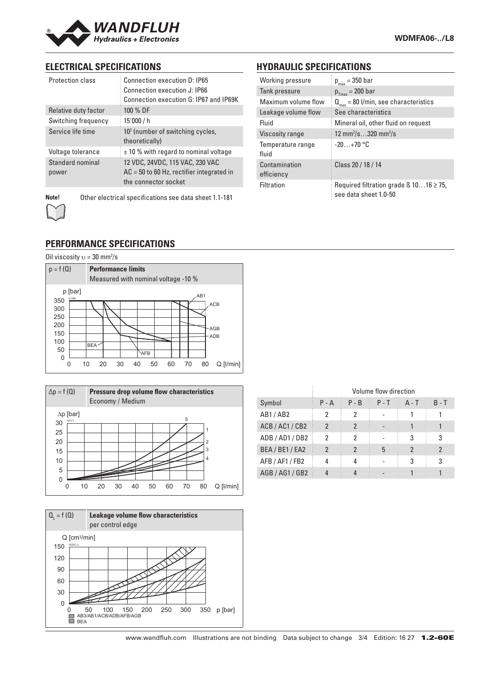

# **ELECTRICAL SPECIFICATIONS**

| <b>Protection class</b>   | Connection execution D: IP65<br>Connection execution J: IP66<br>Connection execution G: IP67 and IP69K |
|---------------------------|--------------------------------------------------------------------------------------------------------|
| Relative duty factor      | 100 % DF                                                                                               |
| Switching frequency       | 15'000 / h                                                                                             |
| Service life time         | 10 <sup>7</sup> (number of switching cycles,<br>theoretically)                                         |
| Voltage tolerance         | $±$ 10 % with regard to nominal voltage                                                                |
| Standard nominal<br>power | 12 VDC, 24VDC, 115 VAC, 230 VAC<br>$AC = 50$ to 60 Hz, rectifier integrated in<br>the connector socket |

**Note!** Other electrical specifications see data sheet 1.1-181

# **HYDRAULIC SPECIFICATIONS**

| Working pressure            | $p_{max} = 350$ bar                                                        |
|-----------------------------|----------------------------------------------------------------------------|
| Tank pressure               | $p_{Tmax}$ = 200 bar                                                       |
| Maximum volume flow         | $Q_{\text{max}} = 80$ l/min, see characteristics                           |
| Leakage volume flow         | See characteristics                                                        |
| Fluid                       | Mineral oil, other fluid on request                                        |
| Viscosity range             | 12 mm <sup>2</sup> /s320 mm <sup>2</sup> /s                                |
| Temperature range<br>fluid  | $-20+70$ °C                                                                |
| Contamination<br>efficiency | Class 20 / 18 / 14                                                         |
| Filtration                  | Required filtration grade $\beta$ 1016 $\geq$ 75,<br>see data sheet 1.0-50 |

# **PERFORMANCE SPECIFICATIONS**

Oil viscosity  $v = 30$  mm<sup>2</sup>/s







|                 | Volume flow direction |         |         |                |         |  |
|-----------------|-----------------------|---------|---------|----------------|---------|--|
| Symbol          | $P - A$               | $P - B$ | $P - T$ | $A - T$        | $B - T$ |  |
| AB1/AB2         | 2                     | 2       |         |                |         |  |
| ACB / AC1 / CB2 | 2                     | 2       |         |                |         |  |
| ADB/AD1/DB2     | 2                     | 2       |         | 3              | 3       |  |
| BEA / BE1 / EA2 | 2                     | 2       | 5       | $\mathfrak{p}$ | 2       |  |
| AFB / AF1 / FB2 |                       |         |         | 3              | 3       |  |
| AGB / AG1 / GB2 |                       |         |         |                |         |  |